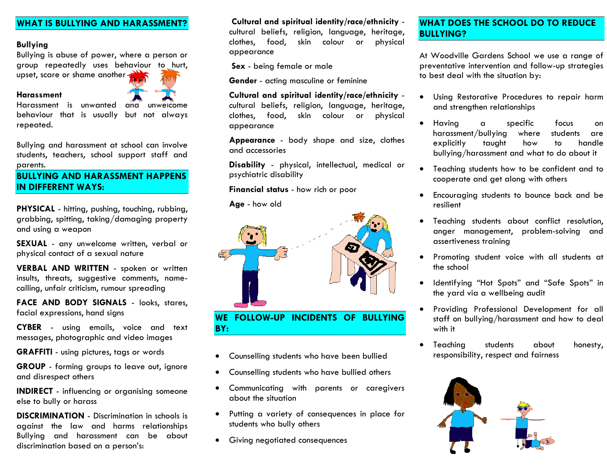#### **WHAT IS BULLYING AND HARASSMENT?**

#### **Bullying**

Bullying is abuse of power, where a person or group repeatedly uses behaviour to hurt, upset, scare or shame another

#### **Harassment**

Harassment is unwanted and unwelcome behaviour that is usually but not always repeated.

Bullying and harassment at school can involve students, teachers, school support staff and parents.

## **BULLYING AND HARASSMENT HAPPENS IN DIFFERENT WAYS:**

**PHYSICAL** - hitting, pushing, touching, rubbing, grabbing, spitting, taking/damaging property and using a weapon

**SEXUAL** - any unwelcome written, verbal or physical contact of a sexual nature

**VERBAL AND WRITTEN** - spoken or written insults, threats, suggestive comments, namecalling, unfair criticism, rumour spreading

FACE AND BODY SIGNALS - looks, stares, facial expressions, hand signs

**CYBER** - using emails, voice and text messages, photographic and video images

**GRAFFITI** - using pictures, tags or words

**GROUP** - forming groups to leave out, ignore and disrespect others

**INDIRECT** - influencing or organising someone else to bully or harass

**DISCRIMINATION** - Discrimination in schools is against the law and harms relationships Bullying and harassment can be about discrimination based on a person's:

**Cultural and spiritual identity/race/ethnicity**  cultural beliefs, religion, language, heritage, clothes, food, skin colour or physical appearance

**Sex** - being female or male

**Gender** - acting masculine or feminine

**Cultural and spiritual identity/race/ethnicity**  cultural beliefs, religion, language, heritage, clothes, food, skin colour or physical appearance

**Appearance** - body shape and size, clothes and accessories

**Disability** - physical, intellectual, medical or psychiatric disability

**Financial status** - how rich or poor

**Age** - how old



#### **WE FOLLOW-UP INCIDENTS OF BULLYING BY:**

- Counselling students who have been bullied
- Counselling students who have bullied others
- Communicating with parents or caregivers about the situation
- Putting a variety of consequences in place for students who bully others
- Giving negotiated consequences

#### **WHAT DOES THE SCHOOL DO TO REDUCE BULLYING?**

At Woodville Gardens School we use a range of preventative intervention and follow-up strategies to best deal with the situation by:

- Using Restorative Procedures to repair harm and strengthen relationships
- Having a specific focus on harassment/bullying where students are explicitly taught how to handle bullying/harassment and what to do about it
- Teaching students how to be confident and to cooperate and get along with others
- Encouraging students to bounce back and be resilient
- Teaching students about conflict resolution, anger management, problem-solving and assertiveness training
- Promoting student voice with all students at the school
- Identifying "Hot Spots" and "Safe Spots" in the yard via a wellbeing audit
- Providing Professional Development for all staff on bullying/harassment and how to deal with it
- Teaching students about honesty, responsibility, respect and fairness